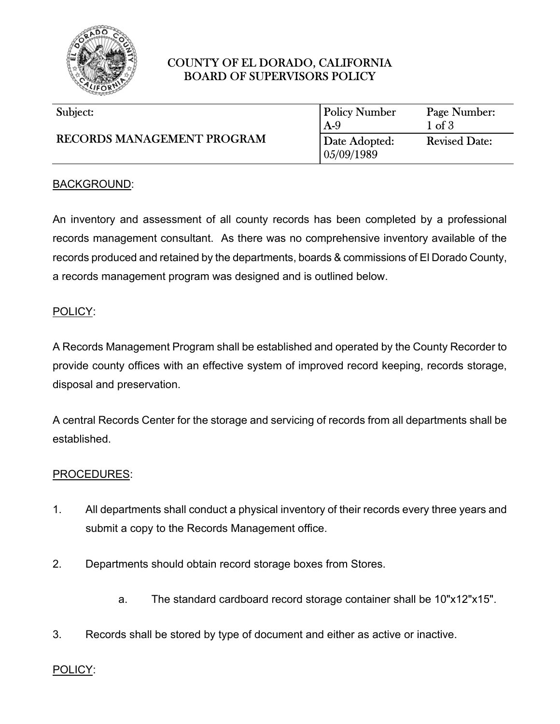

# COUNTY OF EL DORADO, CALIFORNIA BOARD OF SUPERVISORS POLICY

| Subject:<br>RECORDS MANAGEMENT PROGRAM | <b>Policy Number</b><br>$A-9$ | Page Number:<br>$1 \text{ of } 3$ |
|----------------------------------------|-------------------------------|-----------------------------------|
|                                        | Date Adopted:<br>05/09/1989   | <b>Revised Date:</b>              |

## BACKGROUND:

An inventory and assessment of all county records has been completed by a professional records management consultant. As there was no comprehensive inventory available of the records produced and retained by the departments, boards & commissions of El Dorado County, a records management program was designed and is outlined below.

#### POLICY:

A Records Management Program shall be established and operated by the County Recorder to provide county offices with an effective system of improved record keeping, records storage, disposal and preservation.

A central Records Center for the storage and servicing of records from all departments shall be established.

#### PROCEDURES:

- 1. All departments shall conduct a physical inventory of their records every three years and submit a copy to the Records Management office.
- 2. Departments should obtain record storage boxes from Stores.
	- a. The standard cardboard record storage container shall be 10"x12"x15".
- 3. Records shall be stored by type of document and either as active or inactive.

#### POLICY: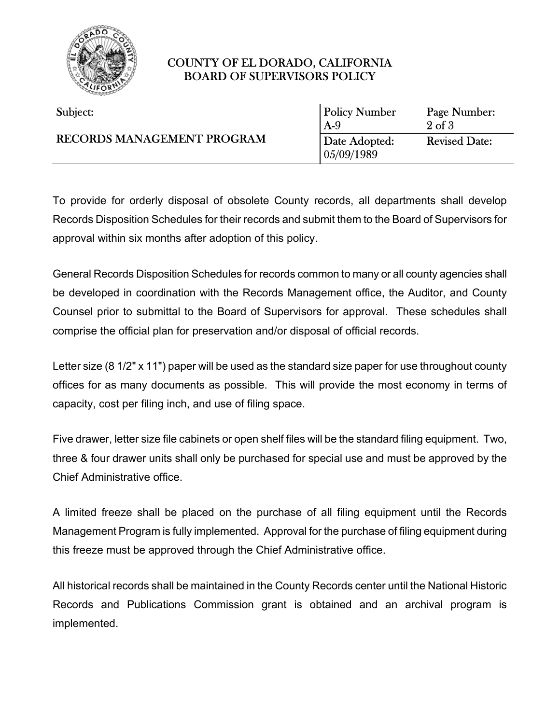

## COUNTY OF EL DORADO, CALIFORNIA BOARD OF SUPERVISORS POLICY

| Subject:                          | <b>Policy Number</b>                   | Page Number:                              |
|-----------------------------------|----------------------------------------|-------------------------------------------|
| <b>RECORDS MANAGEMENT PROGRAM</b> | $A-9$<br>Date Adopted:<br>  05/09/1989 | $2 \text{ of } 3$<br><b>Revised Date:</b> |

To provide for orderly disposal of obsolete County records, all departments shall develop Records Disposition Schedules for their records and submit them to the Board of Supervisors for approval within six months after adoption of this policy.

General Records Disposition Schedules for records common to many or all county agencies shall be developed in coordination with the Records Management office, the Auditor, and County Counsel prior to submittal to the Board of Supervisors for approval. These schedules shall comprise the official plan for preservation and/or disposal of official records.

Letter size (8 1/2" x 11") paper will be used as the standard size paper for use throughout county offices for as many documents as possible. This will provide the most economy in terms of capacity, cost per filing inch, and use of filing space.

Five drawer, letter size file cabinets or open shelf files will be the standard filing equipment. Two, three & four drawer units shall only be purchased for special use and must be approved by the Chief Administrative office.

A limited freeze shall be placed on the purchase of all filing equipment until the Records Management Program is fully implemented. Approval for the purchase of filing equipment during this freeze must be approved through the Chief Administrative office.

All historical records shall be maintained in the County Records center until the National Historic Records and Publications Commission grant is obtained and an archival program is implemented.